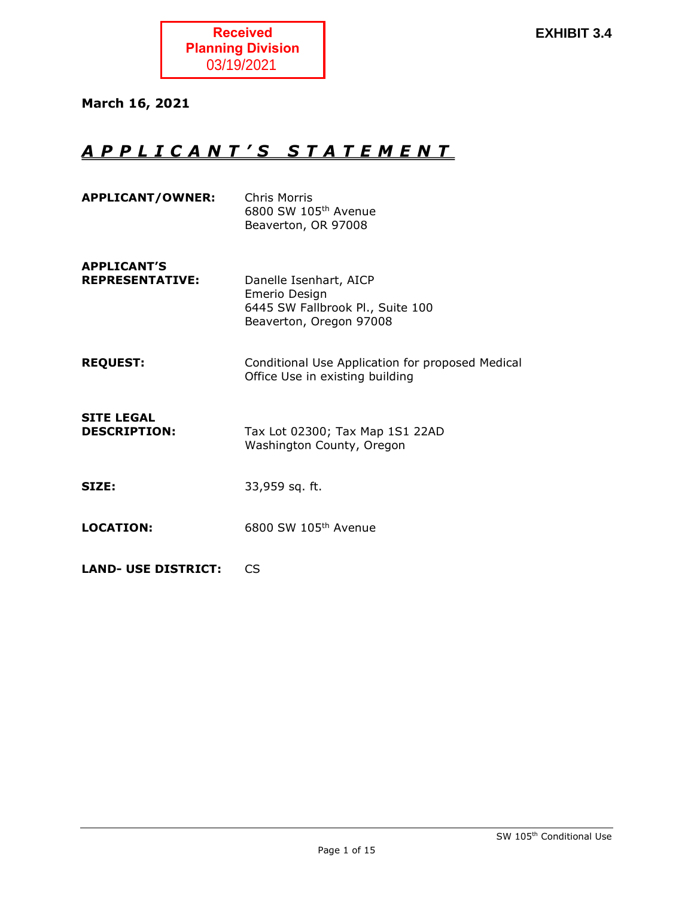

March 16, 2021

# A P P L I C A N T ' S S T A T E M E N T

| <b>APPLICANT/OWNER:</b>                      | Chris Morris<br>6800 SW 105 <sup>th</sup> Avenue<br>Beaverton, OR 97008                                |
|----------------------------------------------|--------------------------------------------------------------------------------------------------------|
| <b>APPLICANT'S</b><br><b>REPRESENTATIVE:</b> | Danelle Isenhart, AICP<br>Emerio Design<br>6445 SW Fallbrook Pl., Suite 100<br>Beaverton, Oregon 97008 |
| <b>REQUEST:</b>                              | Conditional Use Application for proposed Medical<br>Office Use in existing building                    |
| <b>SITE LEGAL</b><br><b>DESCRIPTION:</b>     | Tax Lot 02300; Tax Map 1S1 22AD<br>Washington County, Oregon                                           |
| <b>SIZE:</b>                                 | 33,959 sq. ft.                                                                                         |
| <b>LOCATION:</b>                             | 6800 SW 105th Avenue                                                                                   |
| <b>LAND- USE DISTRICT:</b>                   | CS                                                                                                     |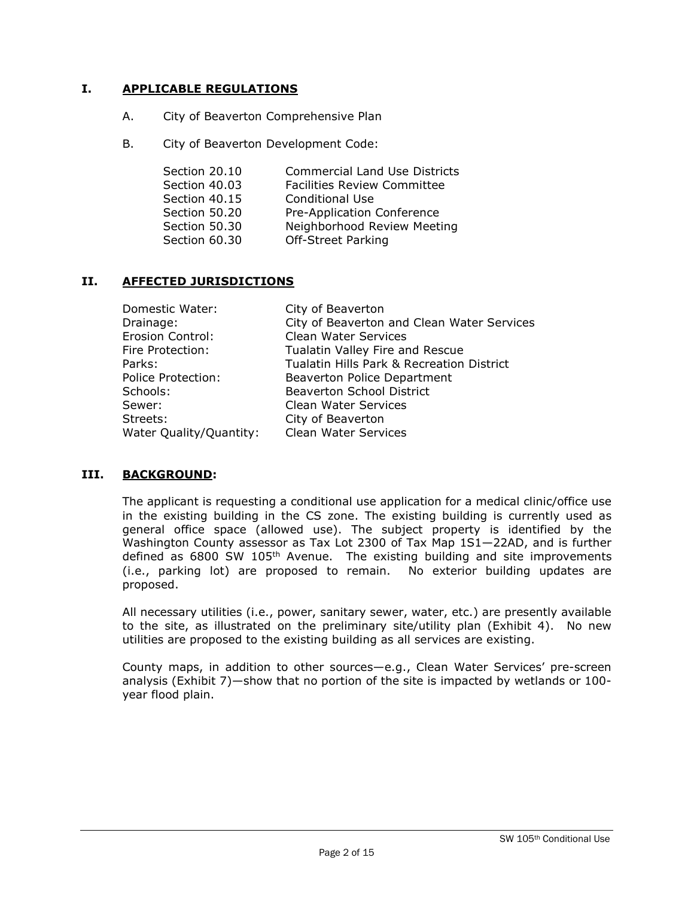# I. APPLICABLE REGULATIONS

- A. City of Beaverton Comprehensive Plan
- B. City of Beaverton Development Code:

| Section 20.10 | <b>Commercial Land Use Districts</b> |
|---------------|--------------------------------------|
| Section 40.03 | <b>Facilities Review Committee</b>   |
| Section 40.15 | <b>Conditional Use</b>               |
| Section 50.20 | Pre-Application Conference           |
| Section 50.30 | Neighborhood Review Meeting          |
| Section 60.30 | <b>Off-Street Parking</b>            |

# II. AFFECTED JURISDICTIONS

| Domestic Water:           | City of Beaverton                          |
|---------------------------|--------------------------------------------|
| Drainage:                 | City of Beaverton and Clean Water Services |
| Erosion Control:          | <b>Clean Water Services</b>                |
| Fire Protection:          | Tualatin Valley Fire and Rescue            |
| Parks:                    | Tualatin Hills Park & Recreation District  |
| <b>Police Protection:</b> | Beaverton Police Department                |
| Schools:                  | <b>Beaverton School District</b>           |
| Sewer:                    | <b>Clean Water Services</b>                |
| Streets:                  | City of Beaverton                          |
| Water Quality/Quantity:   | Clean Water Services                       |

# III. BACKGROUND:

The applicant is requesting a conditional use application for a medical clinic/office use in the existing building in the CS zone. The existing building is currently used as general office space (allowed use). The subject property is identified by the Washington County assessor as Tax Lot 2300 of Tax Map 1S1—22AD, and is further defined as 6800 SW 105<sup>th</sup> Avenue. The existing building and site improvements (i.e., parking lot) are proposed to remain. No exterior building updates are proposed.

All necessary utilities (i.e., power, sanitary sewer, water, etc.) are presently available to the site, as illustrated on the preliminary site/utility plan (Exhibit 4). No new utilities are proposed to the existing building as all services are existing.

County maps, in addition to other sources—e.g., Clean Water Services' pre-screen analysis (Exhibit 7)—show that no portion of the site is impacted by wetlands or 100 year flood plain.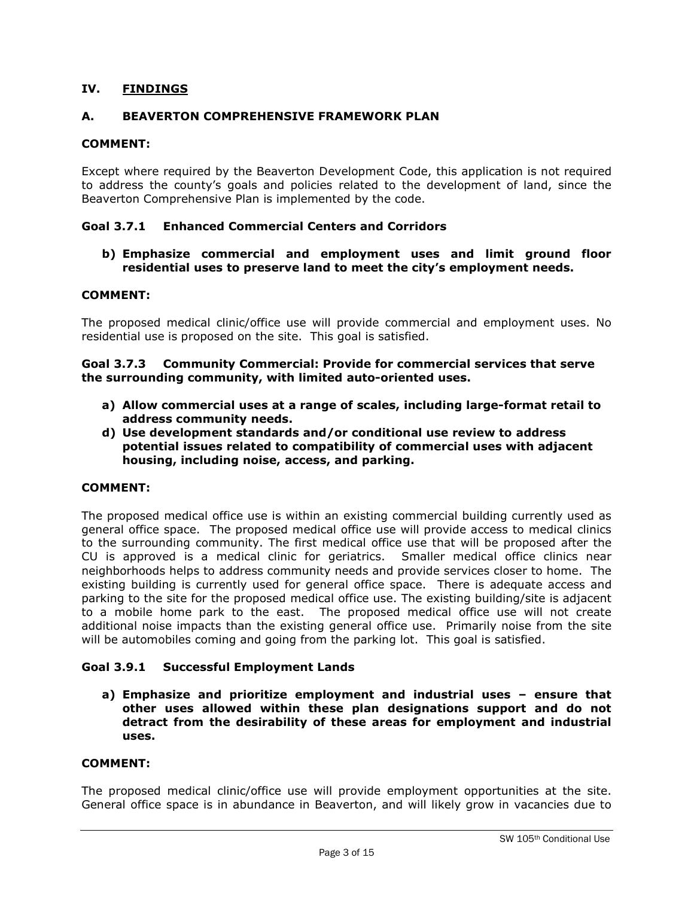# IV. FINDINGS

# A. BEAVERTON COMPREHENSIVE FRAMEWORK PLAN

# COMMENT:

Except where required by the Beaverton Development Code, this application is not required to address the county's goals and policies related to the development of land, since the Beaverton Comprehensive Plan is implemented by the code.

## Goal 3.7.1 Enhanced Commercial Centers and Corridors

b) Emphasize commercial and employment uses and limit ground floor residential uses to preserve land to meet the city's employment needs.

## COMMENT:

The proposed medical clinic/office use will provide commercial and employment uses. No residential use is proposed on the site. This goal is satisfied.

#### Goal 3.7.3 Community Commercial: Provide for commercial services that serve the surrounding community, with limited auto-oriented uses.

- a) Allow commercial uses at a range of scales, including large-format retail to address community needs.
- d) Use development standards and/or conditional use review to address potential issues related to compatibility of commercial uses with adjacent housing, including noise, access, and parking.

## COMMENT:

The proposed medical office use is within an existing commercial building currently used as general office space. The proposed medical office use will provide access to medical clinics to the surrounding community. The first medical office use that will be proposed after the CU is approved is a medical clinic for geriatrics. Smaller medical office clinics near neighborhoods helps to address community needs and provide services closer to home. The existing building is currently used for general office space. There is adequate access and parking to the site for the proposed medical office use. The existing building/site is adjacent to a mobile home park to the east. The proposed medical office use will not create additional noise impacts than the existing general office use. Primarily noise from the site will be automobiles coming and going from the parking lot. This goal is satisfied.

## Goal 3.9.1 Successful Employment Lands

a) Emphasize and prioritize employment and industrial uses – ensure that other uses allowed within these plan designations support and do not detract from the desirability of these areas for employment and industrial uses.

#### COMMENT:

The proposed medical clinic/office use will provide employment opportunities at the site. General office space is in abundance in Beaverton, and will likely grow in vacancies due to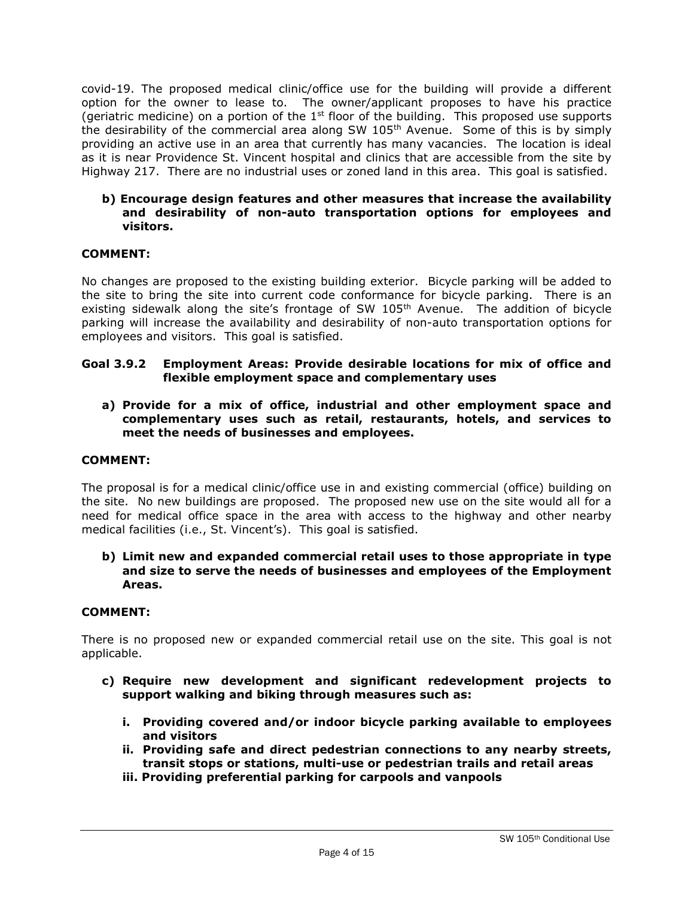covid-19. The proposed medical clinic/office use for the building will provide a different option for the owner to lease to. The owner/applicant proposes to have his practice (geriatric medicine) on a portion of the  $1<sup>st</sup>$  floor of the building. This proposed use supports the desirability of the commercial area along SW  $105<sup>th</sup>$  Avenue. Some of this is by simply providing an active use in an area that currently has many vacancies. The location is ideal as it is near Providence St. Vincent hospital and clinics that are accessible from the site by Highway 217. There are no industrial uses or zoned land in this area. This goal is satisfied.

## b) Encourage design features and other measures that increase the availability and desirability of non-auto transportation options for employees and visitors.

# COMMENT:

No changes are proposed to the existing building exterior. Bicycle parking will be added to the site to bring the site into current code conformance for bicycle parking. There is an existing sidewalk along the site's frontage of SW 105<sup>th</sup> Avenue. The addition of bicycle parking will increase the availability and desirability of non-auto transportation options for employees and visitors. This goal is satisfied.

## Goal 3.9.2 Employment Areas: Provide desirable locations for mix of office and flexible employment space and complementary uses

a) Provide for a mix of office, industrial and other employment space and complementary uses such as retail, restaurants, hotels, and services to meet the needs of businesses and employees.

## COMMENT:

The proposal is for a medical clinic/office use in and existing commercial (office) building on the site. No new buildings are proposed. The proposed new use on the site would all for a need for medical office space in the area with access to the highway and other nearby medical facilities (i.e., St. Vincent's). This goal is satisfied.

## b) Limit new and expanded commercial retail uses to those appropriate in type and size to serve the needs of businesses and employees of the Employment Areas.

#### COMMENT:

There is no proposed new or expanded commercial retail use on the site. This goal is not applicable.

- c) Require new development and significant redevelopment projects to support walking and biking through measures such as:
	- i. Providing covered and/or indoor bicycle parking available to employees and visitors
	- ii. Providing safe and direct pedestrian connections to any nearby streets, transit stops or stations, multi-use or pedestrian trails and retail areas
	- iii. Providing preferential parking for carpools and vanpools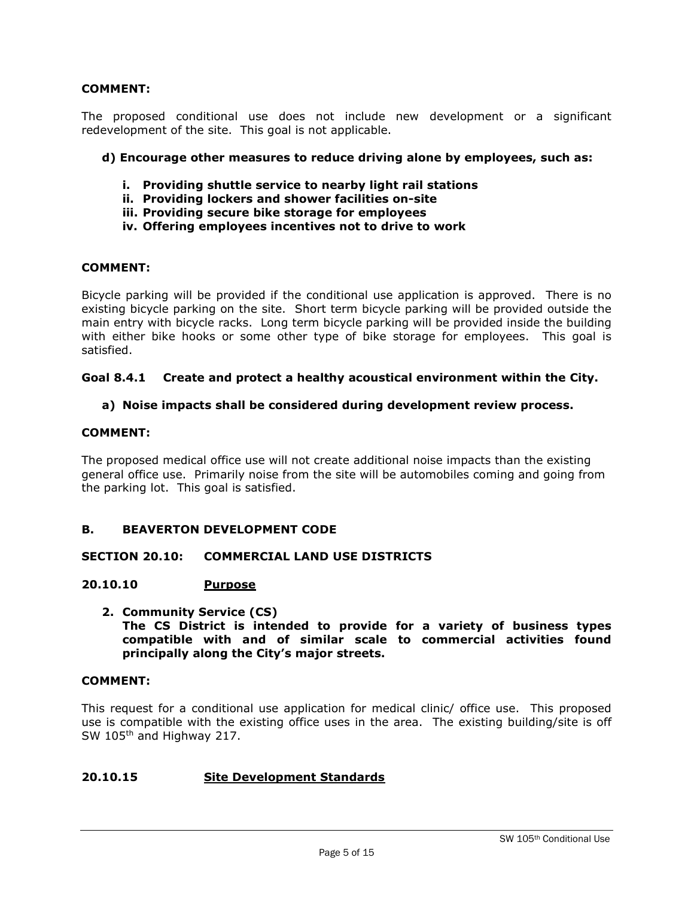The proposed conditional use does not include new development or a significant redevelopment of the site. This goal is not applicable.

## d) Encourage other measures to reduce driving alone by employees, such as:

- i. Providing shuttle service to nearby light rail stations
- ii. Providing lockers and shower facilities on-site
- iii. Providing secure bike storage for employees
- iv. Offering employees incentives not to drive to work

## COMMENT:

Bicycle parking will be provided if the conditional use application is approved. There is no existing bicycle parking on the site. Short term bicycle parking will be provided outside the main entry with bicycle racks. Long term bicycle parking will be provided inside the building with either bike hooks or some other type of bike storage for employees. This goal is satisfied.

#### Goal 8.4.1 Create and protect a healthy acoustical environment within the City.

## a) Noise impacts shall be considered during development review process.

## COMMENT:

The proposed medical office use will not create additional noise impacts than the existing general office use. Primarily noise from the site will be automobiles coming and going from the parking lot. This goal is satisfied.

## B. BEAVERTON DEVELOPMENT CODE

## SECTION 20.10: COMMERCIAL LAND USE DISTRICTS

## 20.10.10 Purpose

2. Community Service (CS) The CS District is intended to provide for a variety of business types compatible with and of similar scale to commercial activities found principally along the City's major streets.

#### COMMENT:

This request for a conditional use application for medical clinic/ office use. This proposed use is compatible with the existing office uses in the area. The existing building/site is off SW 105<sup>th</sup> and Highway 217.

## 20.10.15 Site Development Standards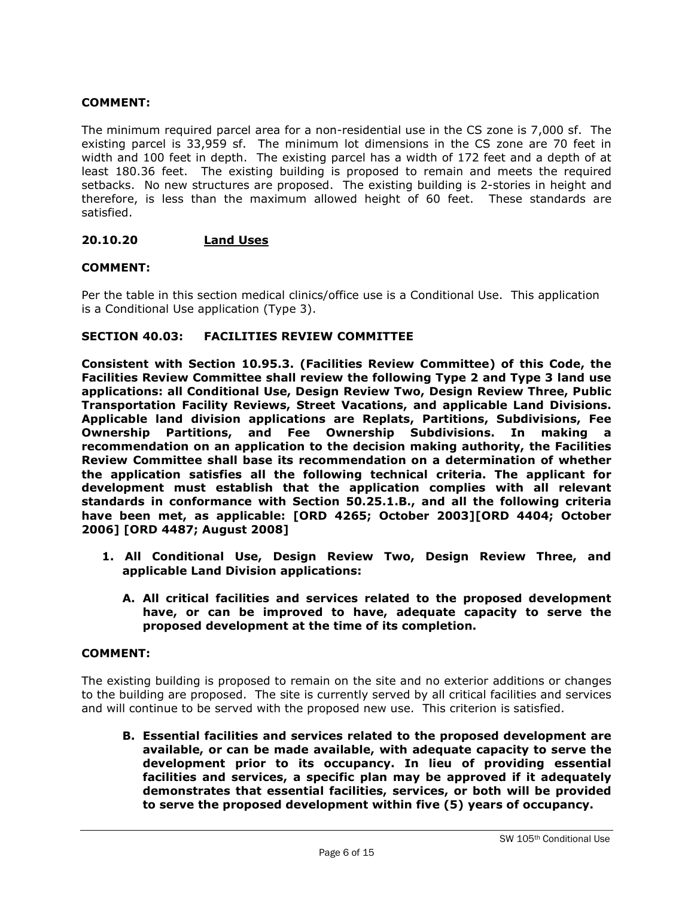The minimum required parcel area for a non-residential use in the CS zone is 7,000 sf. The existing parcel is 33,959 sf. The minimum lot dimensions in the CS zone are 70 feet in width and 100 feet in depth. The existing parcel has a width of 172 feet and a depth of at least 180.36 feet. The existing building is proposed to remain and meets the required setbacks. No new structures are proposed. The existing building is 2-stories in height and therefore, is less than the maximum allowed height of 60 feet. These standards are satisfied.

# 20.10.20 Land Uses

## COMMENT:

Per the table in this section medical clinics/office use is a Conditional Use. This application is a Conditional Use application (Type 3).

#### SECTION 40.03: FACILITIES REVIEW COMMITTEE

Consistent with Section 10.95.3. (Facilities Review Committee) of this Code, the Facilities Review Committee shall review the following Type 2 and Type 3 land use applications: all Conditional Use, Design Review Two, Design Review Three, Public Transportation Facility Reviews, Street Vacations, and applicable Land Divisions. Applicable land division applications are Replats, Partitions, Subdivisions, Fee Ownership Partitions, and Fee Ownership Subdivisions. In making recommendation on an application to the decision making authority, the Facilities Review Committee shall base its recommendation on a determination of whether the application satisfies all the following technical criteria. The applicant for development must establish that the application complies with all relevant standards in conformance with Section 50.25.1.B., and all the following criteria have been met, as applicable: [ORD 4265; October 2003][ORD 4404; October 2006] [ORD 4487; August 2008]

- 1. All Conditional Use, Design Review Two, Design Review Three, and applicable Land Division applications:
	- A. All critical facilities and services related to the proposed development have, or can be improved to have, adequate capacity to serve the proposed development at the time of its completion.

## COMMENT:

The existing building is proposed to remain on the site and no exterior additions or changes to the building are proposed. The site is currently served by all critical facilities and services and will continue to be served with the proposed new use. This criterion is satisfied.

B. Essential facilities and services related to the proposed development are available, or can be made available, with adequate capacity to serve the development prior to its occupancy. In lieu of providing essential facilities and services, a specific plan may be approved if it adequately demonstrates that essential facilities, services, or both will be provided to serve the proposed development within five (5) years of occupancy.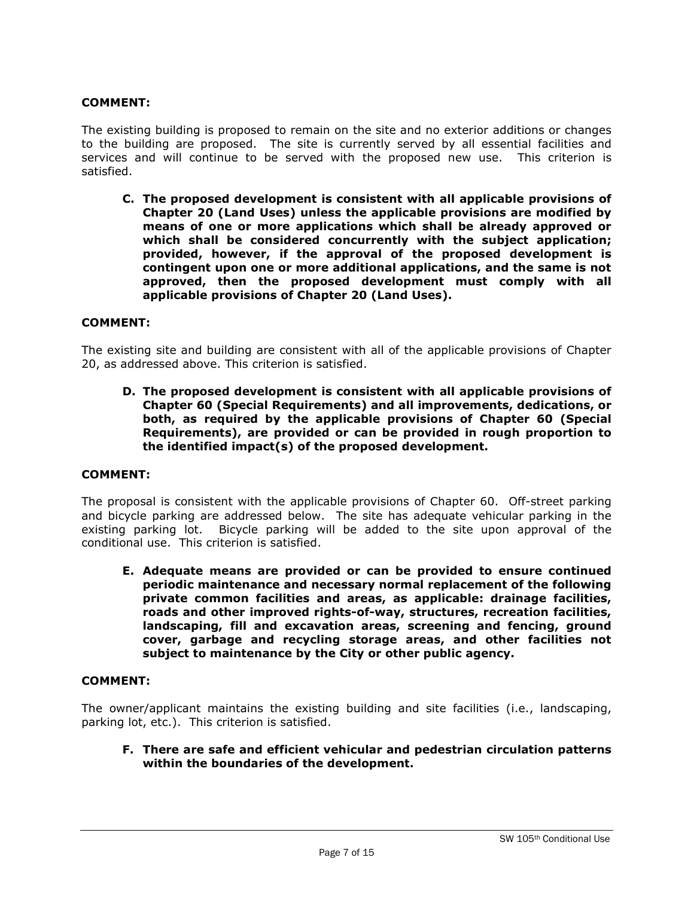The existing building is proposed to remain on the site and no exterior additions or changes to the building are proposed. The site is currently served by all essential facilities and services and will continue to be served with the proposed new use. This criterion is satisfied.

C. The proposed development is consistent with all applicable provisions of Chapter 20 (Land Uses) unless the applicable provisions are modified by means of one or more applications which shall be already approved or which shall be considered concurrently with the subject application; provided, however, if the approval of the proposed development is contingent upon one or more additional applications, and the same is not approved, then the proposed development must comply with all applicable provisions of Chapter 20 (Land Uses).

#### COMMENT:

The existing site and building are consistent with all of the applicable provisions of Chapter 20, as addressed above. This criterion is satisfied.

D. The proposed development is consistent with all applicable provisions of Chapter 60 (Special Requirements) and all improvements, dedications, or both, as required by the applicable provisions of Chapter 60 (Special Requirements), are provided or can be provided in rough proportion to the identified impact(s) of the proposed development.

#### COMMENT:

The proposal is consistent with the applicable provisions of Chapter 60. Off-street parking and bicycle parking are addressed below. The site has adequate vehicular parking in the existing parking lot. Bicycle parking will be added to the site upon approval of the conditional use. This criterion is satisfied.

E. Adequate means are provided or can be provided to ensure continued periodic maintenance and necessary normal replacement of the following private common facilities and areas, as applicable: drainage facilities, roads and other improved rights-of-way, structures, recreation facilities, landscaping, fill and excavation areas, screening and fencing, ground cover, garbage and recycling storage areas, and other facilities not subject to maintenance by the City or other public agency.

#### COMMENT:

The owner/applicant maintains the existing building and site facilities (i.e., landscaping, parking lot, etc.). This criterion is satisfied.

F. There are safe and efficient vehicular and pedestrian circulation patterns within the boundaries of the development.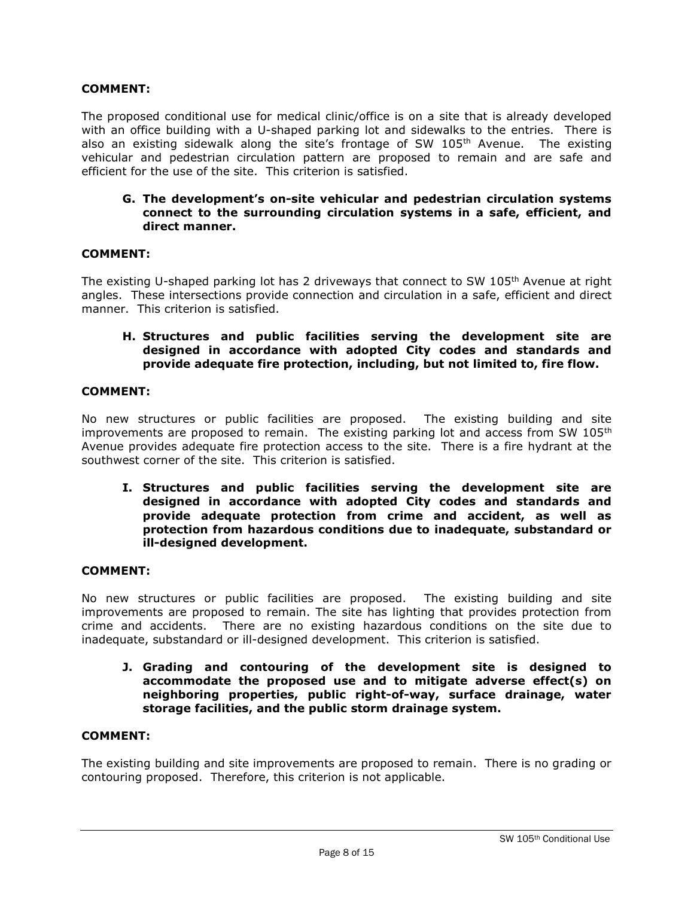The proposed conditional use for medical clinic/office is on a site that is already developed with an office building with a U-shaped parking lot and sidewalks to the entries. There is also an existing sidewalk along the site's frontage of SW 105<sup>th</sup> Avenue. The existing vehicular and pedestrian circulation pattern are proposed to remain and are safe and efficient for the use of the site. This criterion is satisfied.

## G. The development's on-site vehicular and pedestrian circulation systems connect to the surrounding circulation systems in a safe, efficient, and direct manner.

## COMMENT:

The existing U-shaped parking lot has 2 driveways that connect to SW  $105<sup>th</sup>$  Avenue at right angles. These intersections provide connection and circulation in a safe, efficient and direct manner. This criterion is satisfied.

# H. Structures and public facilities serving the development site are designed in accordance with adopted City codes and standards and provide adequate fire protection, including, but not limited to, fire flow.

## COMMENT:

No new structures or public facilities are proposed. The existing building and site improvements are proposed to remain. The existing parking lot and access from SW  $105<sup>th</sup>$ Avenue provides adequate fire protection access to the site. There is a fire hydrant at the southwest corner of the site. This criterion is satisfied.

I. Structures and public facilities serving the development site are designed in accordance with adopted City codes and standards and provide adequate protection from crime and accident, as well as protection from hazardous conditions due to inadequate, substandard or ill-designed development.

## COMMENT:

No new structures or public facilities are proposed. The existing building and site improvements are proposed to remain. The site has lighting that provides protection from crime and accidents. There are no existing hazardous conditions on the site due to inadequate, substandard or ill-designed development. This criterion is satisfied.

J. Grading and contouring of the development site is designed to accommodate the proposed use and to mitigate adverse effect(s) on neighboring properties, public right-of-way, surface drainage, water storage facilities, and the public storm drainage system.

#### COMMENT:

The existing building and site improvements are proposed to remain. There is no grading or contouring proposed. Therefore, this criterion is not applicable.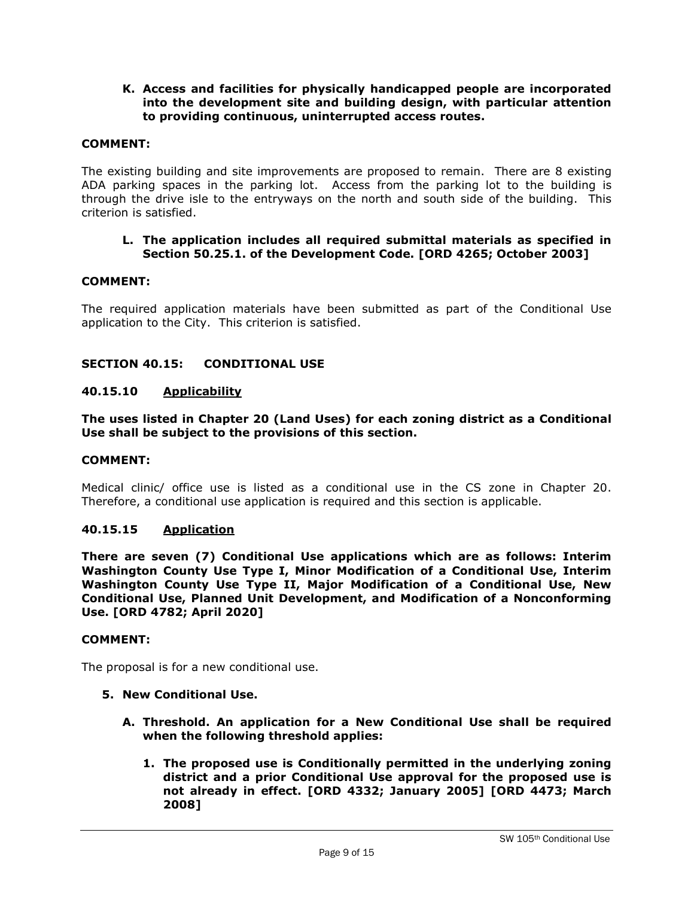## K. Access and facilities for physically handicapped people are incorporated into the development site and building design, with particular attention to providing continuous, uninterrupted access routes.

## COMMENT:

The existing building and site improvements are proposed to remain. There are 8 existing ADA parking spaces in the parking lot. Access from the parking lot to the building is through the drive isle to the entryways on the north and south side of the building. This criterion is satisfied.

#### L. The application includes all required submittal materials as specified in Section 50.25.1. of the Development Code. [ORD 4265; October 2003]

## COMMENT:

The required application materials have been submitted as part of the Conditional Use application to the City. This criterion is satisfied.

## SECTION 40.15: CONDITIONAL USE

#### 40.15.10 Applicability

The uses listed in Chapter 20 (Land Uses) for each zoning district as a Conditional Use shall be subject to the provisions of this section.

#### COMMENT:

Medical clinic/ office use is listed as a conditional use in the CS zone in Chapter 20. Therefore, a conditional use application is required and this section is applicable.

#### 40.15.15 Application

There are seven (7) Conditional Use applications which are as follows: Interim Washington County Use Type I, Minor Modification of a Conditional Use, Interim Washington County Use Type II, Major Modification of a Conditional Use, New Conditional Use, Planned Unit Development, and Modification of a Nonconforming Use. [ORD 4782; April 2020]

#### COMMENT:

The proposal is for a new conditional use.

#### 5. New Conditional Use.

- A. Threshold. An application for a New Conditional Use shall be required when the following threshold applies:
	- 1. The proposed use is Conditionally permitted in the underlying zoning district and a prior Conditional Use approval for the proposed use is not already in effect. [ORD 4332; January 2005] [ORD 4473; March 2008]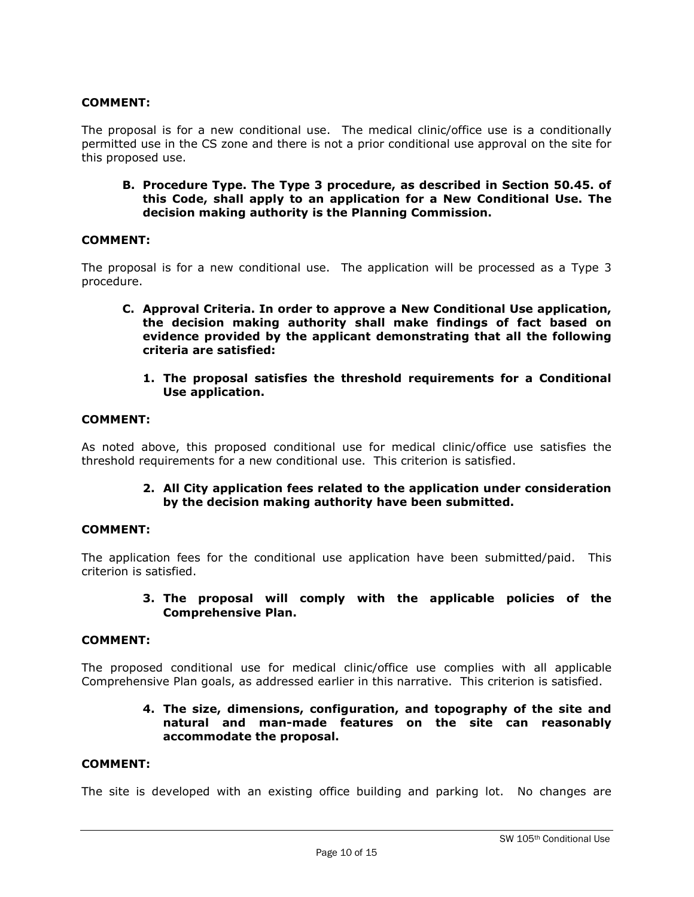The proposal is for a new conditional use. The medical clinic/office use is a conditionally permitted use in the CS zone and there is not a prior conditional use approval on the site for this proposed use.

B. Procedure Type. The Type 3 procedure, as described in Section 50.45. of this Code, shall apply to an application for a New Conditional Use. The decision making authority is the Planning Commission.

#### COMMENT:

The proposal is for a new conditional use. The application will be processed as a Type 3 procedure.

- C. Approval Criteria. In order to approve a New Conditional Use application, the decision making authority shall make findings of fact based on evidence provided by the applicant demonstrating that all the following criteria are satisfied:
	- 1. The proposal satisfies the threshold requirements for a Conditional Use application.

#### COMMENT:

As noted above, this proposed conditional use for medical clinic/office use satisfies the threshold requirements for a new conditional use. This criterion is satisfied.

> 2. All City application fees related to the application under consideration by the decision making authority have been submitted.

#### COMMENT:

The application fees for the conditional use application have been submitted/paid. This criterion is satisfied.

#### 3. The proposal will comply with the applicable policies of the Comprehensive Plan.

#### COMMENT:

The proposed conditional use for medical clinic/office use complies with all applicable Comprehensive Plan goals, as addressed earlier in this narrative. This criterion is satisfied.

## 4. The size, dimensions, configuration, and topography of the site and natural and man-made features on the site can reasonably accommodate the proposal.

#### COMMENT:

The site is developed with an existing office building and parking lot. No changes are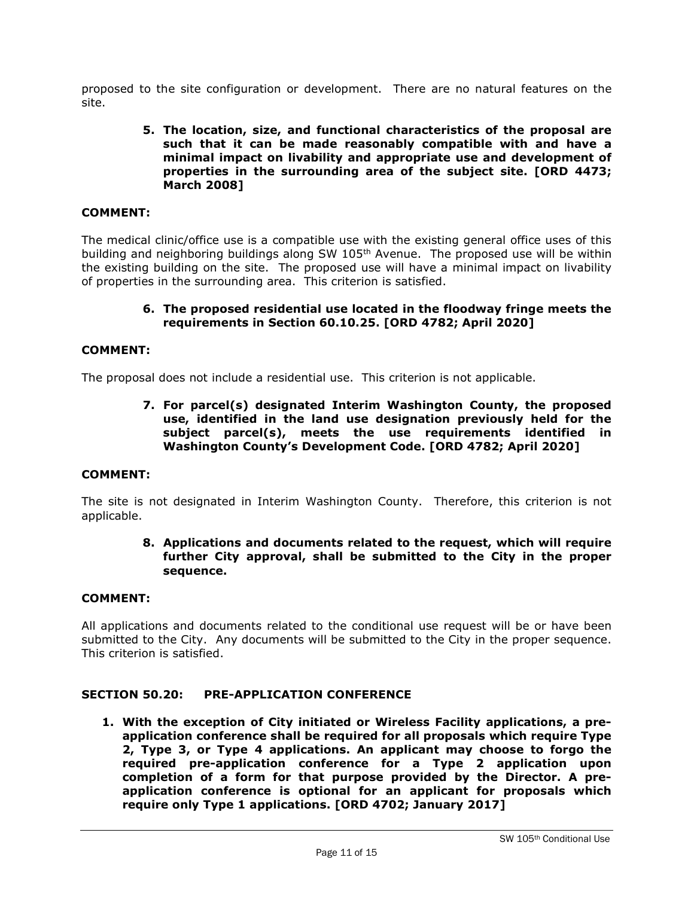proposed to the site configuration or development. There are no natural features on the site.

## 5. The location, size, and functional characteristics of the proposal are such that it can be made reasonably compatible with and have a minimal impact on livability and appropriate use and development of properties in the surrounding area of the subject site. [ORD 4473; March 2008]

## COMMENT:

The medical clinic/office use is a compatible use with the existing general office uses of this building and neighboring buildings along SW  $105<sup>th</sup>$  Avenue. The proposed use will be within the existing building on the site. The proposed use will have a minimal impact on livability of properties in the surrounding area. This criterion is satisfied.

#### 6. The proposed residential use located in the floodway fringe meets the requirements in Section 60.10.25. [ORD 4782; April 2020]

#### COMMENT:

The proposal does not include a residential use. This criterion is not applicable.

7. For parcel(s) designated Interim Washington County, the proposed use, identified in the land use designation previously held for the subject parcel(s), meets the use requirements identified in Washington County's Development Code. [ORD 4782; April 2020]

#### COMMENT:

The site is not designated in Interim Washington County. Therefore, this criterion is not applicable.

## 8. Applications and documents related to the request, which will require further City approval, shall be submitted to the City in the proper sequence.

#### COMMENT:

All applications and documents related to the conditional use request will be or have been submitted to the City. Any documents will be submitted to the City in the proper sequence. This criterion is satisfied.

#### SECTION 50.20: PRE-APPLICATION CONFERENCE

1. With the exception of City initiated or Wireless Facility applications, a preapplication conference shall be required for all proposals which require Type 2, Type 3, or Type 4 applications. An applicant may choose to forgo the required pre-application conference for a Type 2 application upon completion of a form for that purpose provided by the Director. A preapplication conference is optional for an applicant for proposals which require only Type 1 applications. [ORD 4702; January 2017]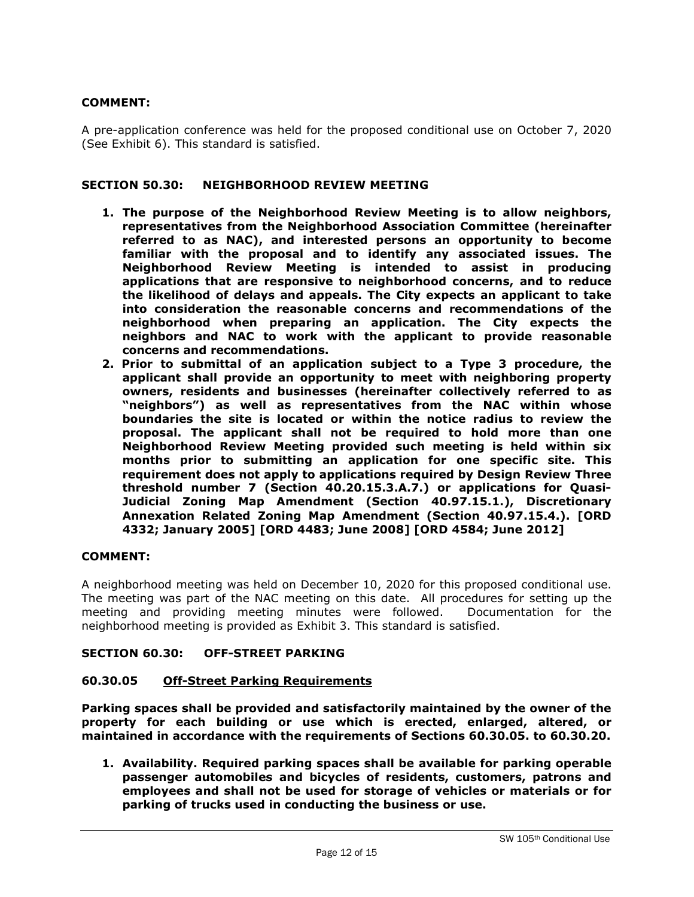A pre-application conference was held for the proposed conditional use on October 7, 2020 (See Exhibit 6). This standard is satisfied.

#### SECTION 50.30: NEIGHBORHOOD REVIEW MEETING

- 1. The purpose of the Neighborhood Review Meeting is to allow neighbors, representatives from the Neighborhood Association Committee (hereinafter referred to as NAC), and interested persons an opportunity to become familiar with the proposal and to identify any associated issues. The Neighborhood Review Meeting is intended to assist in producing applications that are responsive to neighborhood concerns, and to reduce the likelihood of delays and appeals. The City expects an applicant to take into consideration the reasonable concerns and recommendations of the neighborhood when preparing an application. The City expects the neighbors and NAC to work with the applicant to provide reasonable concerns and recommendations.
- 2. Prior to submittal of an application subject to a Type 3 procedure, the applicant shall provide an opportunity to meet with neighboring property owners, residents and businesses (hereinafter collectively referred to as "neighbors") as well as representatives from the NAC within whose boundaries the site is located or within the notice radius to review the proposal. The applicant shall not be required to hold more than one Neighborhood Review Meeting provided such meeting is held within six months prior to submitting an application for one specific site. This requirement does not apply to applications required by Design Review Three threshold number 7 (Section 40.20.15.3.A.7.) or applications for Quasi-Judicial Zoning Map Amendment (Section 40.97.15.1.), Discretionary Annexation Related Zoning Map Amendment (Section 40.97.15.4.). [ORD 4332; January 2005] [ORD 4483; June 2008] [ORD 4584; June 2012]

#### COMMENT:

A neighborhood meeting was held on December 10, 2020 for this proposed conditional use. The meeting was part of the NAC meeting on this date. All procedures for setting up the meeting and providing meeting minutes were followed. Documentation for the neighborhood meeting is provided as Exhibit 3. This standard is satisfied.

## SECTION 60.30: OFF-STREET PARKING

#### 60.30.05 Off-Street Parking Requirements

Parking spaces shall be provided and satisfactorily maintained by the owner of the property for each building or use which is erected, enlarged, altered, or maintained in accordance with the requirements of Sections 60.30.05. to 60.30.20.

1. Availability. Required parking spaces shall be available for parking operable passenger automobiles and bicycles of residents, customers, patrons and employees and shall not be used for storage of vehicles or materials or for parking of trucks used in conducting the business or use.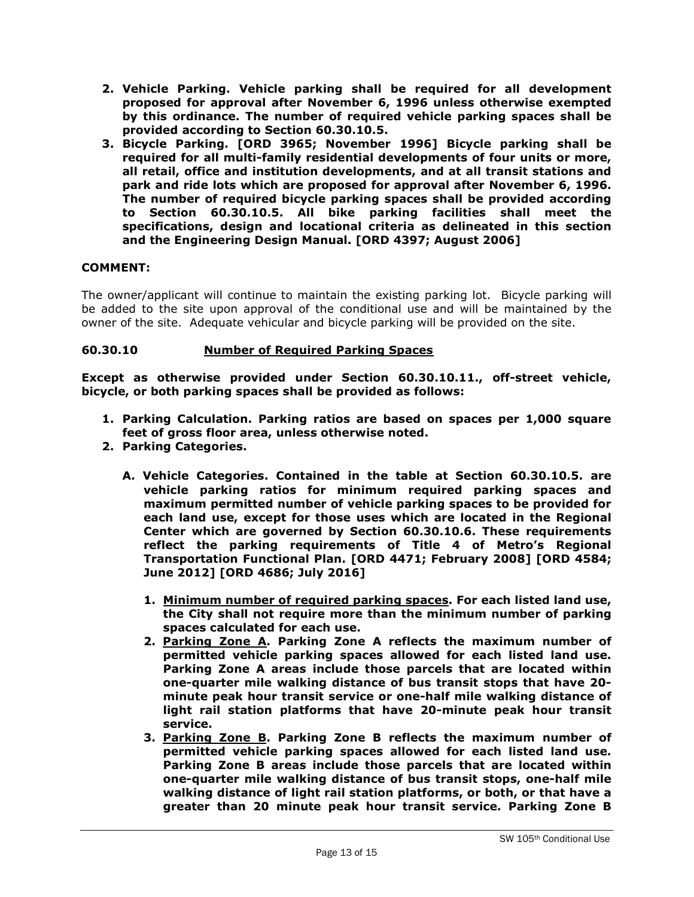- 2. Vehicle Parking. Vehicle parking shall be required for all development proposed for approval after November 6, 1996 unless otherwise exempted by this ordinance. The number of required vehicle parking spaces shall be provided according to Section 60.30.10.5.
- 3. Bicycle Parking. [ORD 3965; November 1996] Bicycle parking shall be required for all multi-family residential developments of four units or more, all retail, office and institution developments, and at all transit stations and park and ride lots which are proposed for approval after November 6, 1996. The number of required bicycle parking spaces shall be provided according to Section 60.30.10.5. All bike parking facilities shall meet the specifications, design and locational criteria as delineated in this section and the Engineering Design Manual. [ORD 4397; August 2006]

The owner/applicant will continue to maintain the existing parking lot. Bicycle parking will be added to the site upon approval of the conditional use and will be maintained by the owner of the site. Adequate vehicular and bicycle parking will be provided on the site.

## 60.30.10 Number of Required Parking Spaces

Except as otherwise provided under Section 60.30.10.11., off-street vehicle, bicycle, or both parking spaces shall be provided as follows:

- 1. Parking Calculation. Parking ratios are based on spaces per 1,000 square feet of gross floor area, unless otherwise noted.
- 2. Parking Categories.
	- A. Vehicle Categories. Contained in the table at Section 60.30.10.5. are vehicle parking ratios for minimum required parking spaces and maximum permitted number of vehicle parking spaces to be provided for each land use, except for those uses which are located in the Regional Center which are governed by Section 60.30.10.6. These requirements reflect the parking requirements of Title 4 of Metro's Regional Transportation Functional Plan. [ORD 4471; February 2008] [ORD 4584; June 2012] [ORD 4686; July 2016]
		- 1. Minimum number of required parking spaces. For each listed land use, the City shall not require more than the minimum number of parking spaces calculated for each use.
		- 2. Parking Zone A. Parking Zone A reflects the maximum number of permitted vehicle parking spaces allowed for each listed land use. Parking Zone A areas include those parcels that are located within one-quarter mile walking distance of bus transit stops that have 20 minute peak hour transit service or one-half mile walking distance of light rail station platforms that have 20-minute peak hour transit service.
		- 3. Parking Zone B. Parking Zone B reflects the maximum number of permitted vehicle parking spaces allowed for each listed land use. Parking Zone B areas include those parcels that are located within one-quarter mile walking distance of bus transit stops, one-half mile walking distance of light rail station platforms, or both, or that have a greater than 20 minute peak hour transit service. Parking Zone B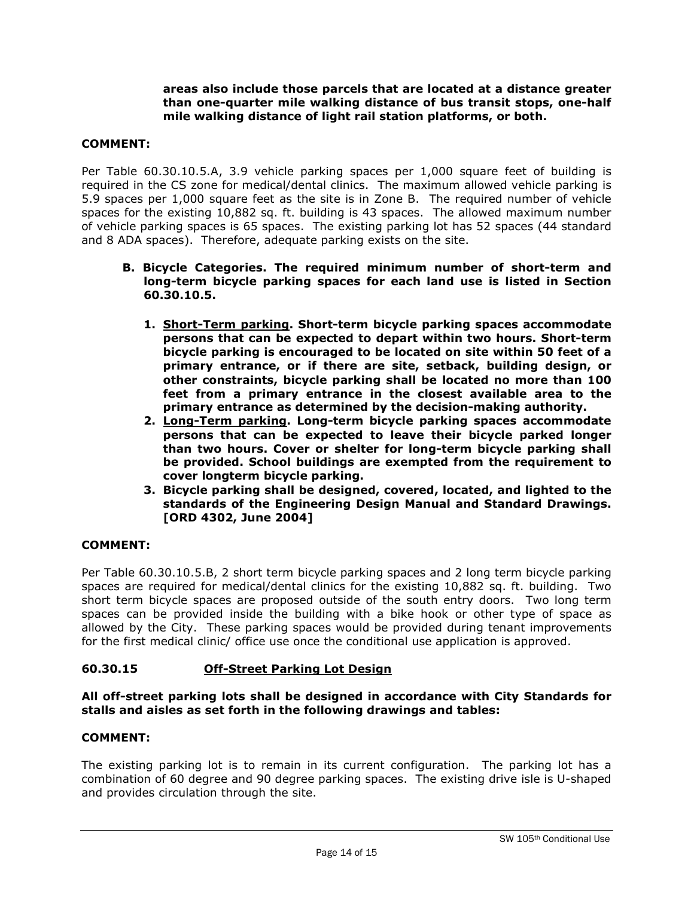## areas also include those parcels that are located at a distance greater than one-quarter mile walking distance of bus transit stops, one-half mile walking distance of light rail station platforms, or both.

# COMMENT:

Per Table 60.30.10.5.A, 3.9 vehicle parking spaces per 1,000 square feet of building is required in the CS zone for medical/dental clinics. The maximum allowed vehicle parking is 5.9 spaces per 1,000 square feet as the site is in Zone B. The required number of vehicle spaces for the existing 10,882 sq. ft. building is 43 spaces. The allowed maximum number of vehicle parking spaces is 65 spaces. The existing parking lot has 52 spaces (44 standard and 8 ADA spaces). Therefore, adequate parking exists on the site.

- B. Bicycle Categories. The required minimum number of short-term and long-term bicycle parking spaces for each land use is listed in Section 60.30.10.5.
	- 1. Short-Term parking. Short-term bicycle parking spaces accommodate persons that can be expected to depart within two hours. Short-term bicycle parking is encouraged to be located on site within 50 feet of a primary entrance, or if there are site, setback, building design, or other constraints, bicycle parking shall be located no more than 100 feet from a primary entrance in the closest available area to the primary entrance as determined by the decision-making authority.
	- 2. Long-Term parking. Long-term bicycle parking spaces accommodate persons that can be expected to leave their bicycle parked longer than two hours. Cover or shelter for long-term bicycle parking shall be provided. School buildings are exempted from the requirement to cover longterm bicycle parking.
	- 3. Bicycle parking shall be designed, covered, located, and lighted to the standards of the Engineering Design Manual and Standard Drawings. [ORD 4302, June 2004]

## COMMENT:

Per Table 60.30.10.5.B, 2 short term bicycle parking spaces and 2 long term bicycle parking spaces are required for medical/dental clinics for the existing 10,882 sq. ft. building. Two short term bicycle spaces are proposed outside of the south entry doors. Two long term spaces can be provided inside the building with a bike hook or other type of space as allowed by the City. These parking spaces would be provided during tenant improvements for the first medical clinic/ office use once the conditional use application is approved.

## 60.30.15 Off-Street Parking Lot Design

## All off-street parking lots shall be designed in accordance with City Standards for stalls and aisles as set forth in the following drawings and tables:

## COMMENT:

The existing parking lot is to remain in its current configuration. The parking lot has a combination of 60 degree and 90 degree parking spaces. The existing drive isle is U-shaped and provides circulation through the site.